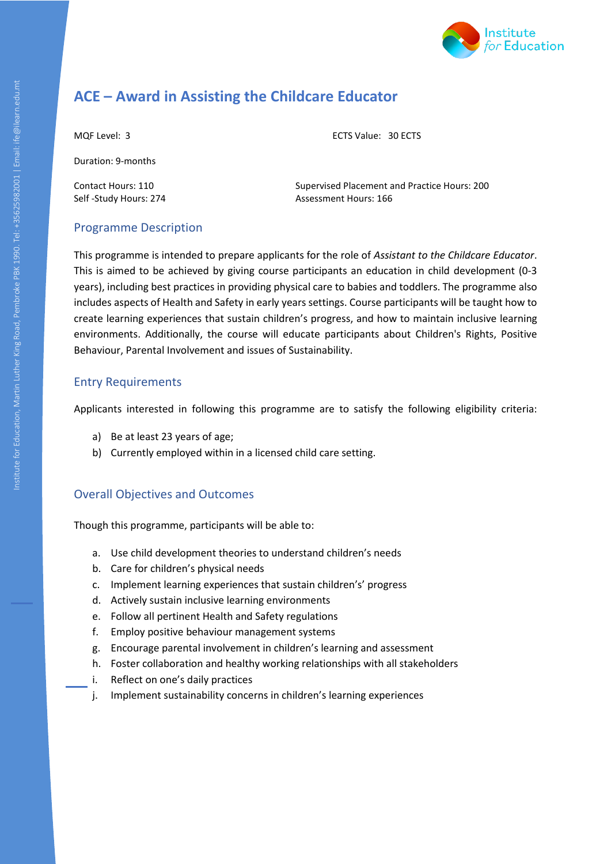

# **ACE – Award in Assisting the Childcare Educator**

MQF Level: 3 ECTS Value: 30 ECTS

Duration: 9-months

Contact Hours: 110 Supervised Placement and Practice Hours: 200 Self -Study Hours: 274 Assessment Hours: 166

## Programme Description

Institute for Education, Martin Luther Road, Pembroke PBK 1990. Tel: +35625982001 | Email: including Paralisan<br>Tel: +3562592001 | Email: ife #3562001 | Email: ife #3562001 | Email: ife #3562001 | Email: ife #3562001 | Ema This programme is intended to prepare applicants for the role of *Assistant to the Childcare Educator*. This is aimed to be achieved by giving course participants an education in child development (0-3 years), including best practices in providing physical care to babies and toddlers. The programme also includes aspects of Health and Safety in early years settings. Course participants will be taught how to create learning experiences that sustain children's progress, and how to maintain inclusive learning environments. Additionally, the course will educate participants about Children's Rights, Positive Behaviour, Parental Involvement and issues of Sustainability.

## Entry Requirements

Applicants interested in following this programme are to satisfy the following eligibility criteria:

- a) Be at least 23 years of age;
- b) Currently employed within in a licensed child care setting.

## Overall Objectives and Outcomes

Though this programme, participants will be able to:

- a. Use child development theories to understand children's needs
- b. Care for children's physical needs
- c. Implement learning experiences that sustain children's' progress
- d. Actively sustain inclusive learning environments
- e. Follow all pertinent Health and Safety regulations
- f. Employ positive behaviour management systems
- g. Encourage parental involvement in children's learning and assessment
- h. Foster collaboration and healthy working relationships with all stakeholders
- i. Reflect on one's daily practices
- j. Implement sustainability concerns in children's learning experiences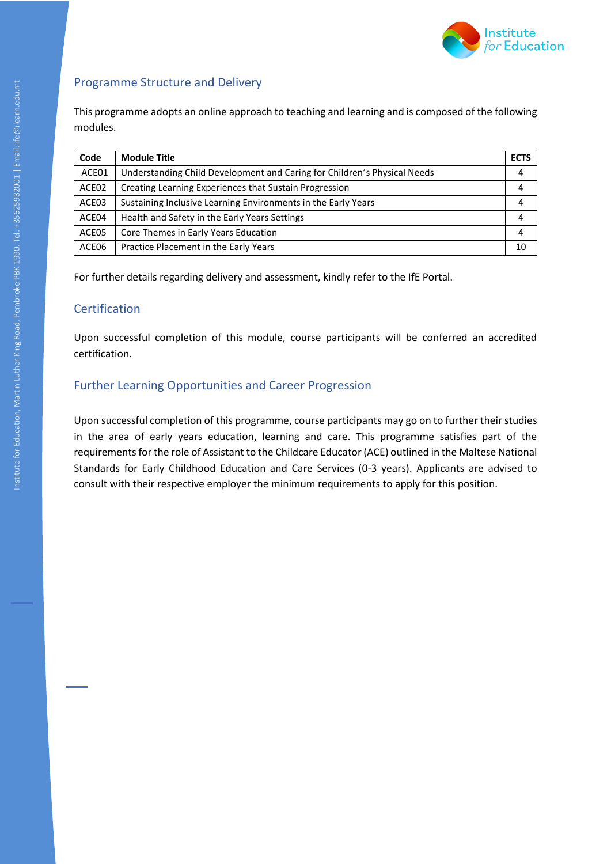

## Programme Structure and Delivery

This programme adopts an online approach to teaching and learning and is composed of the following modules.

| Code  | <b>Module Title</b>                                                      | <b>ECTS</b> |
|-------|--------------------------------------------------------------------------|-------------|
| ACE01 | Understanding Child Development and Caring for Children's Physical Needs |             |
| ACE02 | Creating Learning Experiences that Sustain Progression                   |             |
| ACE03 | Sustaining Inclusive Learning Environments in the Early Years            |             |
| ACE04 | Health and Safety in the Early Years Settings                            |             |
| ACE05 | Core Themes in Early Years Education                                     |             |
| ACE06 | Practice Placement in the Early Years                                    | 10          |

For further details regarding delivery and assessment, kindly refer to the IfE Portal.

#### **Certification**

Upon successful completion of this module, course participants will be conferred an accredited certification.

#### Further Learning Opportunities and Career Progression

Institute for Education, Martin Luther King Road, Pembroke Paragonal, Pembroke Paragonal, Pembroke Paragonal, Pembroke Paragonal, Pembroke Paragonal, Pembroke Paragonal, Pembroke Paragonal, Pembroke Paragonal, Pembroke Par Upon successful completion of this programme, course participants may go on to further their studies in the area of early years education, learning and care. This programme satisfies part of the requirements for the role of Assistant to the Childcare Educator (ACE) outlined in the Maltese National Standards for Early Childhood Education and Care Services (0-3 years). Applicants are advised to consult with their respective employer the minimum requirements to apply for this position.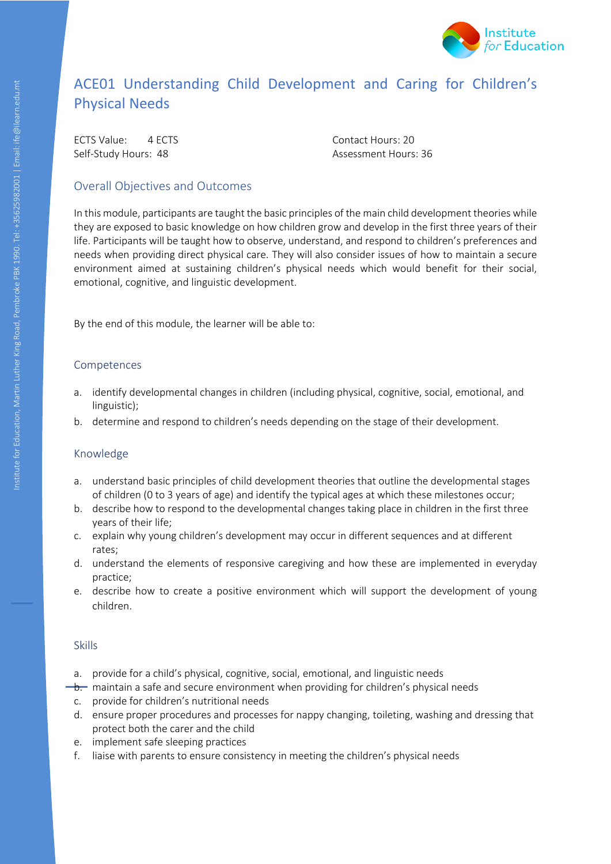

# ACE01 Understanding Child Development and Caring for Children's Physical Needs

ECTS Value: 4 ECTS Contact Hours: 20 Self-Study Hours: 48 Assessment Hours: 36

## Overall Objectives and Outcomes

Institute for Education, Martin Luther Airport Road, Pembroke PBK 1990. Tel: +35625982001 Pembroke P In this module, participants are taught the basic principles of the main child development theories while they are exposed to basic knowledge on how children grow and develop in the first three years of their life. Participants will be taught how to observe, understand, and respond to children's preferences and needs when providing direct physical care. They will also consider issues of how to maintain a secure environment aimed at sustaining children's physical needs which would benefit for their social, emotional, cognitive, and linguistic development.

By the end of this module, the learner will be able to:

#### Competences

- a. identify developmental changes in children (including physical, cognitive, social, emotional, and linguistic);
- b. determine and respond to children's needs depending on the stage of their development.

#### Knowledge

- a. understand basic principles of child development theories that outline the developmental stages of children (0 to 3 years of age) and identify the typical ages at which these milestones occur;
- b. describe how to respond to the developmental changes taking place in children in the first three years of their life;
- c. explain why young children's development may occur in different sequences and at different rates;
- d. understand the elements of responsive caregiving and how these are implemented in everyday practice;
- e. describe how to create a positive environment which will support the development of young children.

- a. provide for a child's physical, cognitive, social, emotional, and linguistic needs
- $\rightarrow$  maintain a safe and secure environment when providing for children's physical needs
	- c. provide for children's nutritional needs
	- d. ensure proper procedures and processes for nappy changing, toileting, washing and dressing that protect both the carer and the child
	- e. implement safe sleeping practices
	- f. liaise with parents to ensure consistency in meeting the children's physical needs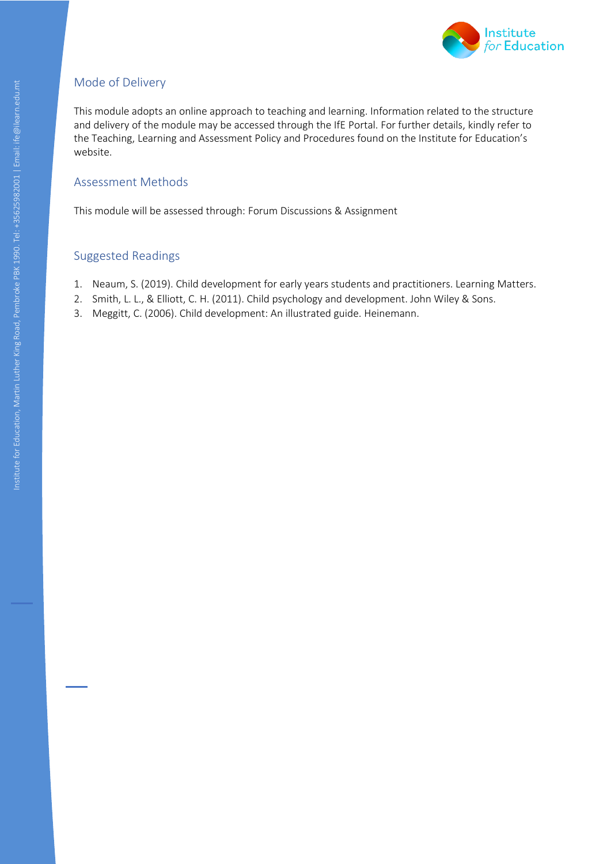

This module adopts an online approach to teaching and learning. Information related to the structure and delivery of the module may be accessed through the IfE Portal. For further details, kindly refer to the Teaching, Learning and Assessment Policy and Procedures found on the Institute for Education's website.

## Assessment Methods

This module will be assessed through: Forum Discussions & Assignment

# Institute  $\frac{1}{2}$ Suggested Readings

- 1. Neaum, S. (2019). Child development for early years students and practitioners. Learning Matters.
- 2. Smith, L. L., & Elliott, C. H. (2011). Child psychology and development. John Wiley & Sons.
- 3. Meggitt, C. (2006). Child development: An illustrated guide. Heinemann.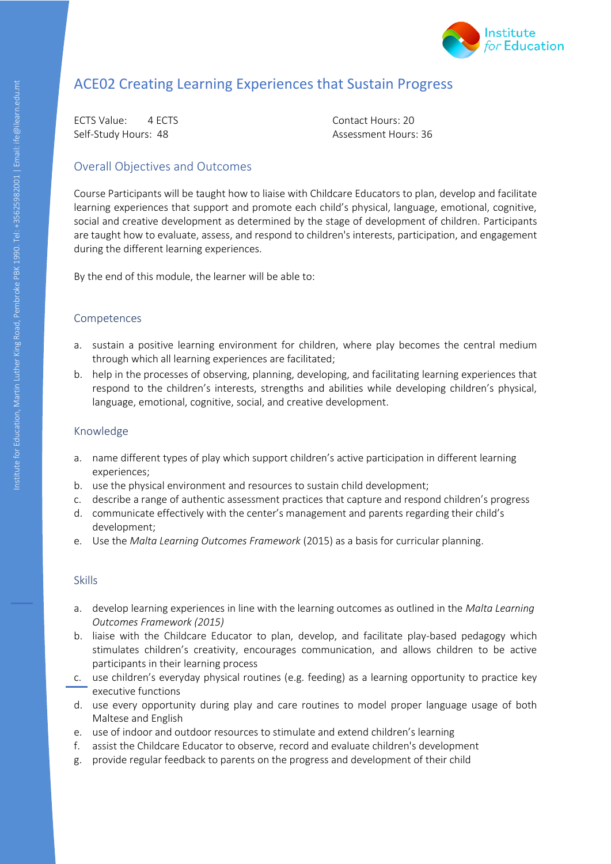

# ACE02 Creating Learning Experiences that Sustain Progress

ECTS Value: 4 ECTS Contact Hours: 20 Self-Study Hours: 48 Assessment Hours: 36

### Overall Objectives and Outcomes

Institute for Education, Martin Luther Road, Pembroke PBK 1990.<br>Tel: +356262001 email: ife Course Participants will be taught how to liaise with Childcare Educators to plan, develop and facilitate learning experiences that support and promote each child's physical, language, emotional, cognitive, social and creative development as determined by the stage of development of children. Participants are taught how to evaluate, assess, and respond to children's interests, participation, and engagement during the different learning experiences.

By the end of this module, the learner will be able to:

#### Competences

- a. sustain a positive learning environment for children, where play becomes the central medium through which all learning experiences are facilitated;
- b. help in the processes of observing, planning, developing, and facilitating learning experiences that respond to the children's interests, strengths and abilities while developing children's physical, language, emotional, cognitive, social, and creative development.

#### Knowledge

- a. name different types of play which support children's active participation in different learning experiences;
- b. use the physical environment and resources to sustain child development;
- c. describe a range of authentic assessment practices that capture and respond children's progress
- d. communicate effectively with the center's management and parents regarding their child's development;
- e. Use the *Malta Learning Outcomes Framework* (2015) as a basis for curricular planning.

- a. develop learning experiences in line with the learning outcomes as outlined in the *Malta Learning Outcomes Framework (2015)*
- b. liaise with the Childcare Educator to plan, develop, and facilitate play-based pedagogy which stimulates children's creativity, encourages communication, and allows children to be active participants in their learning process
- c. use children's everyday physical routines (e.g. feeding) as a learning opportunity to practice key executive functions
- d. use every opportunity during play and care routines to model proper language usage of both Maltese and English
- e. use of indoor and outdoor resources to stimulate and extend children's learning
- f. assist the Childcare Educator to observe, record and evaluate children's development
- g. provide regular feedback to parents on the progress and development of their child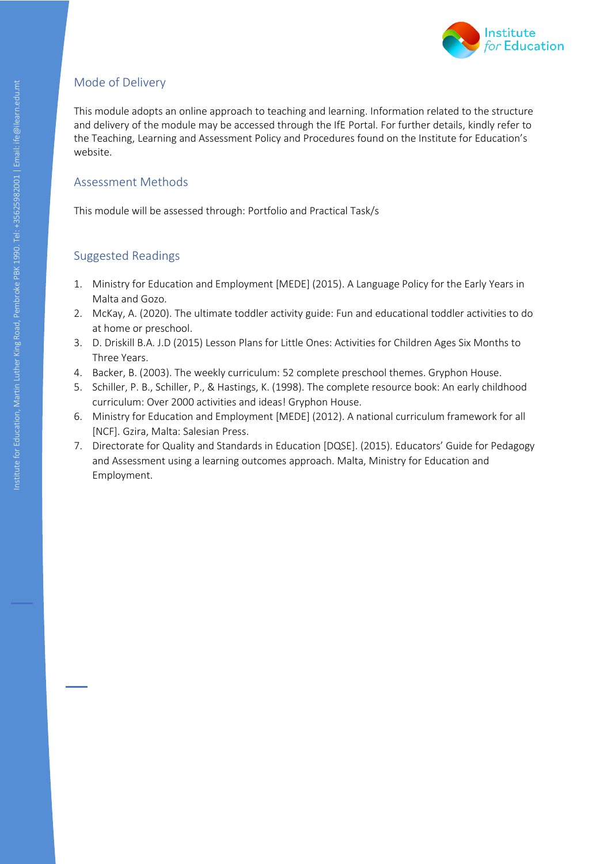

This module adopts an online approach to teaching and learning. Information related to the structure and delivery of the module may be accessed through the IfE Portal. For further details, kindly refer to the Teaching, Learning and Assessment Policy and Procedures found on the Institute for Education's website.

## Assessment Methods

This module will be assessed through: Portfolio and Practical Task/s

- 1. Ministry for Education and Employment [MEDE] (2015). A Language Policy for the Early Years in Malta and Gozo.
- 2. McKay, A. (2020). The ultimate toddler activity guide: Fun and educational toddler activities to do at home or preschool.
- 3. D. Driskill B.A. J.D (2015) Lesson Plans for Little Ones: Activities for Children Ages Six Months to Three Years.
- 4. Backer, B. (2003). The weekly curriculum: 52 complete preschool themes. Gryphon House.
- 5. Schiller, P. B., Schiller, P., & Hastings, K. (1998). The complete resource book: An early childhood curriculum: Over 2000 activities and ideas! Gryphon House.
- 6. Ministry for Education and Employment [MEDE] (2012). A national curriculum framework for all [NCF]. Gzira, Malta: Salesian Press.
- Institute for  $\frac{2}{3}$ <br> $\frac{2}{3}$ 7. Directorate for Quality and Standards in Education [DQSE]. (2015). Educators' Guide for Pedagogy and Assessment using a learning outcomes approach. Malta, Ministry for Education and Employment.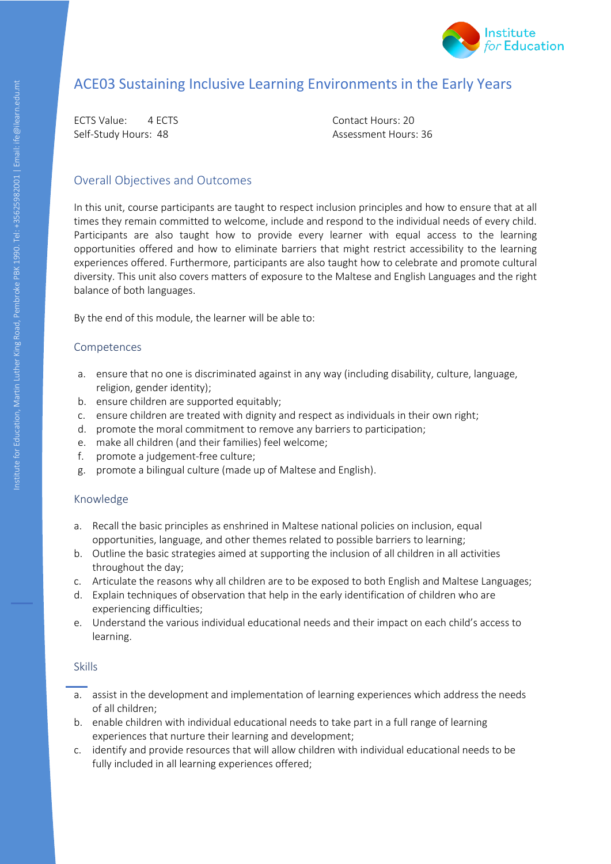

# ACE03 Sustaining Inclusive Learning Environments in the Early Years

ECTS Value: 4 ECTS Contact Hours: 20 Self-Study Hours: 48 Assessment Hours: 36

#### Overall Objectives and Outcomes

Intifute for Education, Pembroke Pamartin Luther Road, Pembroke Pamartin Luther Road, Pembroke Pamartin Road, Pembroke Pamartin Road, Pembroke Pamartin Road, Pembroke Pamartin Road, Pembroke Pamartin Road, Pembroke Pamarti In this unit, course participants are taught to respect inclusion principles and how to ensure that at all times they remain committed to welcome, include and respond to the individual needs of every child. Participants are also taught how to provide every learner with equal access to the learning opportunities offered and how to eliminate barriers that might restrict accessibility to the learning experiences offered. Furthermore, participants are also taught how to celebrate and promote cultural diversity. This unit also covers matters of exposure to the Maltese and English Languages and the right balance of both languages.

By the end of this module, the learner will be able to:

#### Competences

- a. ensure that no one is discriminated against in any way (including disability, culture, language, religion, gender identity);
- b. ensure children are supported equitably;
- c. ensure children are treated with dignity and respect as individuals in their own right;
- d. promote the moral commitment to remove any barriers to participation;
- e. make all children (and their families) feel welcome;
- f. promote a judgement-free culture;
- g. promote a bilingual culture (made up of Maltese and English).

#### Knowledge

- a. Recall the basic principles as enshrined in Maltese national policies on inclusion, equal opportunities, language, and other themes related to possible barriers to learning;
- b. Outline the basic strategies aimed at supporting the inclusion of all children in all activities throughout the day;
- c. Articulate the reasons why all children are to be exposed to both English and Maltese Languages;
- d. Explain techniques of observation that help in the early identification of children who are experiencing difficulties;
- e. Understand the various individual educational needs and their impact on each child's access to learning.

- a. assist in the development and implementation of learning experiences which address the needs of all children;
- b. enable children with individual educational needs to take part in a full range of learning experiences that nurture their learning and development;
- c. identify and provide resources that will allow children with individual educational needs to be fully included in all learning experiences offered;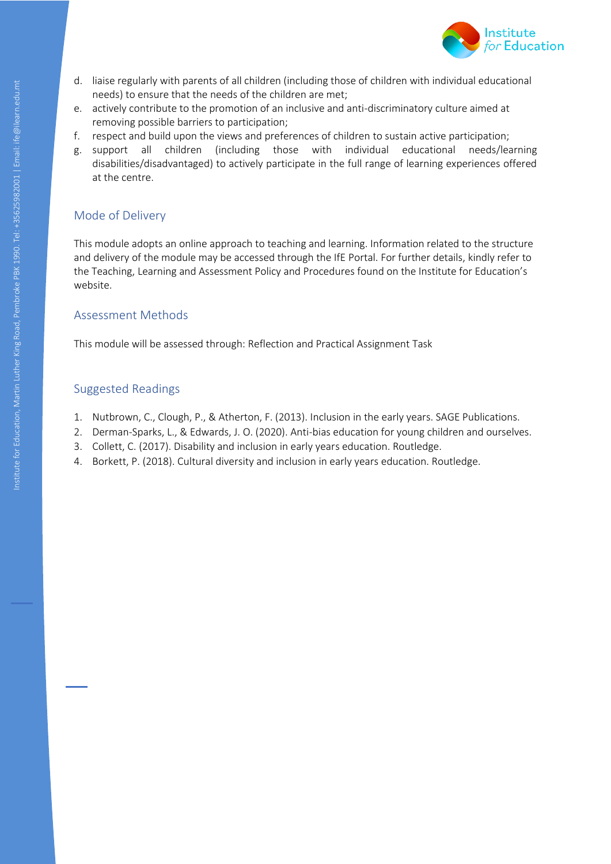

- d. liaise regularly with parents of all children (including those of children with individual educational needs) to ensure that the needs of the children are met;
- e. actively contribute to the promotion of an inclusive and anti-discriminatory culture aimed at removing possible barriers to participation;
- f. respect and build upon the views and preferences of children to sustain active participation;
- g. support all children (including those with individual educational needs/learning disabilities/disadvantaged) to actively participate in the full range of learning experiences offered at the centre.

Institute for Education, Martin Luther Road, Pembroke PBK 1990. Tel: +35625982001 | Email: infection, if each Pembroke PBK 1990. Tel: +356262001 | Email: ife arch.edu.mtm | Email: ife arch.edu.mtm | Email: ife arch.edu.mtm This module adopts an online approach to teaching and learning. Information related to the structure and delivery of the module may be accessed through the IfE Portal. For further details, kindly refer to the Teaching, Learning and Assessment Policy and Procedures found on the Institute for Education's website.

## Assessment Methods

This module will be assessed through: Reflection and Practical Assignment Task

- 1. Nutbrown, C., Clough, P., & Atherton, F. (2013). Inclusion in the early years. SAGE Publications.
- 2. Derman-Sparks, L., & Edwards, J. O. (2020). Anti-bias education for young children and ourselves.
- 3. Collett, C. (2017). Disability and inclusion in early years education. Routledge.
- 4. Borkett, P. (2018). Cultural diversity and inclusion in early years education. Routledge.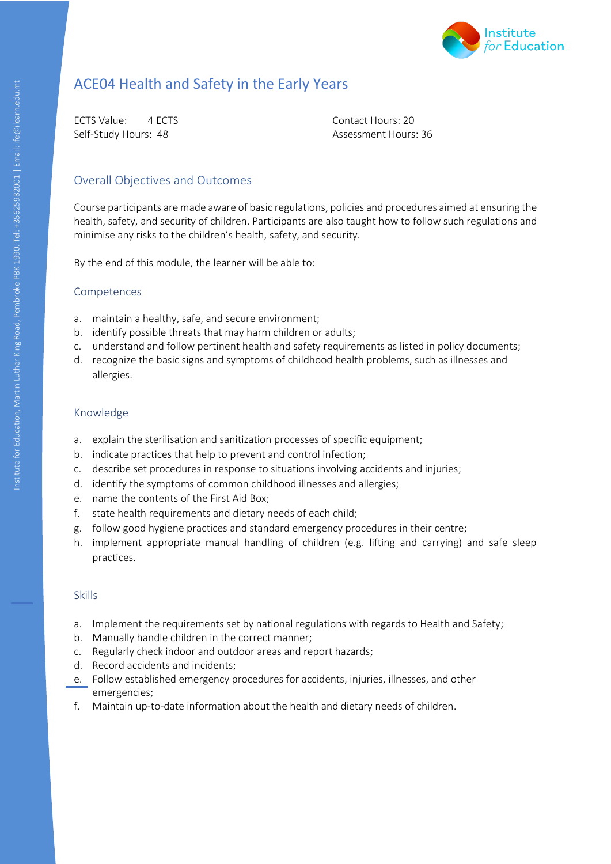

# ACE04 Health and Safety in the Early Years

ECTS Value: 4 ECTS Contact Hours: 20 Self-Study Hours: 48 Assessment Hours: 36

### Overall Objectives and Outcomes

Institute for Education, Martin Luther Road, Pembroke PBK 1990.<br>Pembroke PBK 1990. Tel: ife management is sentiment and a sentiment in the management of the PBK 1990. Tel: if Course participants are made aware of basic regulations, policies and procedures aimed at ensuring the health, safety, and security of children. Participants are also taught how to follow such regulations and minimise any risks to the children's health, safety, and security.

By the end of this module, the learner will be able to:

#### Competences

- a. maintain a healthy, safe, and secure environment;
- b. identify possible threats that may harm children or adults;
- c. understand and follow pertinent health and safety requirements as listed in policy documents;
- d. recognize the basic signs and symptoms of childhood health problems, such as illnesses and allergies.

#### Knowledge

- a. explain the sterilisation and sanitization processes of specific equipment;
- b. indicate practices that help to prevent and control infection;
- c. describe set procedures in response to situations involving accidents and injuries;
- d. identify the symptoms of common childhood illnesses and allergies;
- e. name the contents of the First Aid Box;
- f. state health requirements and dietary needs of each child;
- g. follow good hygiene practices and standard emergency procedures in their centre;
- h. implement appropriate manual handling of children (e.g. lifting and carrying) and safe sleep practices.

- a. Implement the requirements set by national regulations with regards to Health and Safety;
- b. Manually handle children in the correct manner;
- c. Regularly check indoor and outdoor areas and report hazards;
- d. Record accidents and incidents;
- e. Follow established emergency procedures for accidents, injuries, illnesses, and other emergencies;
- f. Maintain up-to-date information about the health and dietary needs of children.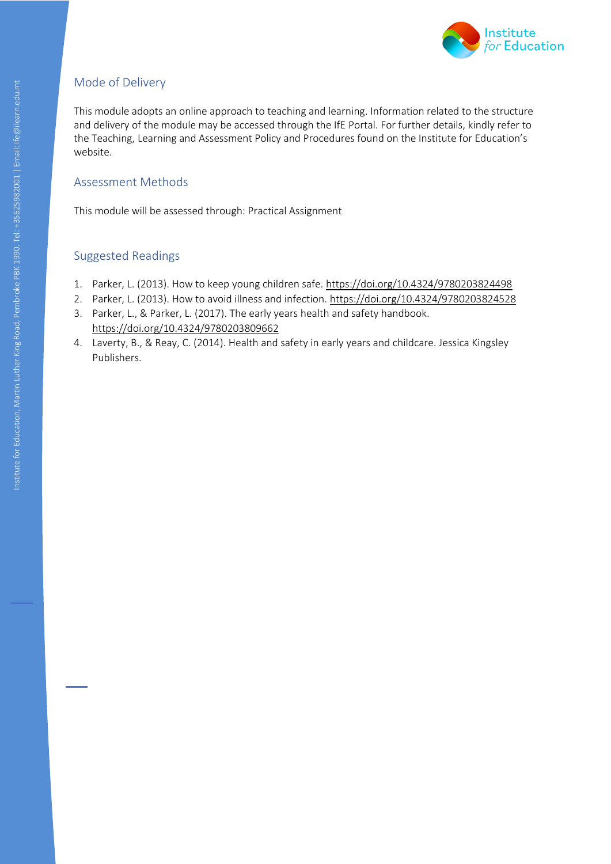

This module adopts an online approach to teaching and learning. Information related to the structure and delivery of the module may be accessed through the IfE Portal. For further details, kindly refer to the Teaching, Learning and Assessment Policy and Procedures found on the Institute for Education's website.

## Assessment Methods

This module will be assessed through: Practical Assignment

- 1. Parker, L. (2013). How to keep young children safe[. https://doi.org/10.4324/9780203824498](https://doi.org/10.4324/9780203824498)
- 2. Parker, L. (2013). How to avoid illness and infection.<https://doi.org/10.4324/9780203824528>
- Institute for  $\frac{1}{2}$ 3. Parker, L., & Parker, L. (2017). The early years health and safety handbook. <https://doi.org/10.4324/9780203809662>
- 4. Laverty, B., & Reay, C. (2014). Health and safety in early years and childcare. Jessica Kingsley Publishers.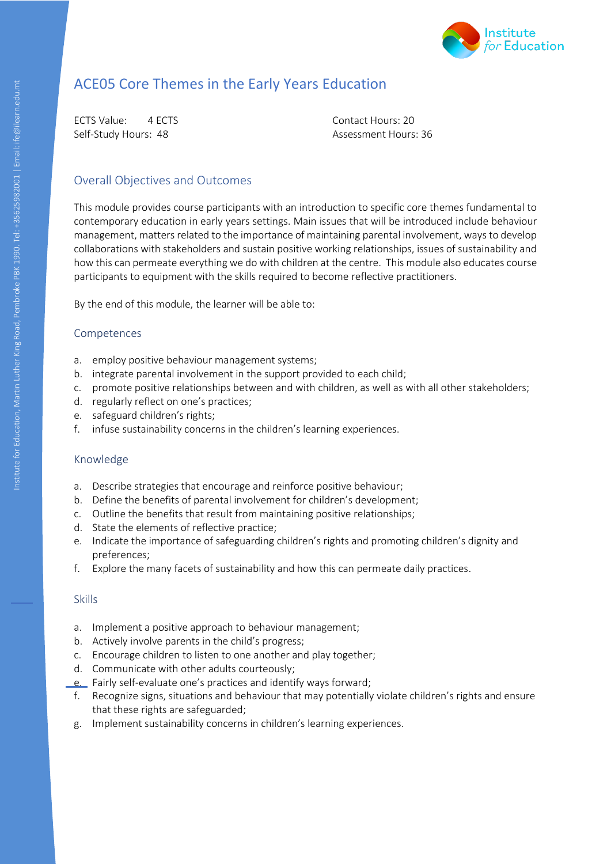

# ACE05 Core Themes in the Early Years Education

ECTS Value: 4 ECTS Contact Hours: 20 Self-Study Hours: 48 Assessment Hours: 36

#### Overall Objectives and Outcomes

Institute for Education, Martin Luther King Road, Pembroke PBK 1990. Tel: +356259 This module provides course participants with an introduction to specific core themes fundamental to contemporary education in early years settings. Main issues that will be introduced include behaviour management, matters related to the importance of maintaining parental involvement, ways to develop collaborations with stakeholders and sustain positive working relationships, issues of sustainability and how this can permeate everything we do with children at the centre. This module also educates course participants to equipment with the skills required to become reflective practitioners.

By the end of this module, the learner will be able to:

#### Competences

- a. employ positive behaviour management systems;
- b. integrate parental involvement in the support provided to each child;
- c. promote positive relationships between and with children, as well as with all other stakeholders;
- d. regularly reflect on one's practices;
- e. safeguard children's rights;
- f. infuse sustainability concerns in the children's learning experiences.

#### Knowledge

- a. Describe strategies that encourage and reinforce positive behaviour;
- b. Define the benefits of parental involvement for children's development;
- c. Outline the benefits that result from maintaining positive relationships;
- d. State the elements of reflective practice;
- e. Indicate the importance of safeguarding children's rights and promoting children's dignity and preferences;
- f. Explore the many facets of sustainability and how this can permeate daily practices.

- a. Implement a positive approach to behaviour management;
- b. Actively involve parents in the child's progress;
- c. Encourage children to listen to one another and play together;
- d. Communicate with other adults courteously;
- e. Fairly self-evaluate one's practices and identify ways forward;
- f. Recognize signs, situations and behaviour that may potentially violate children's rights and ensure that these rights are safeguarded;
- g. Implement sustainability concerns in children's learning experiences.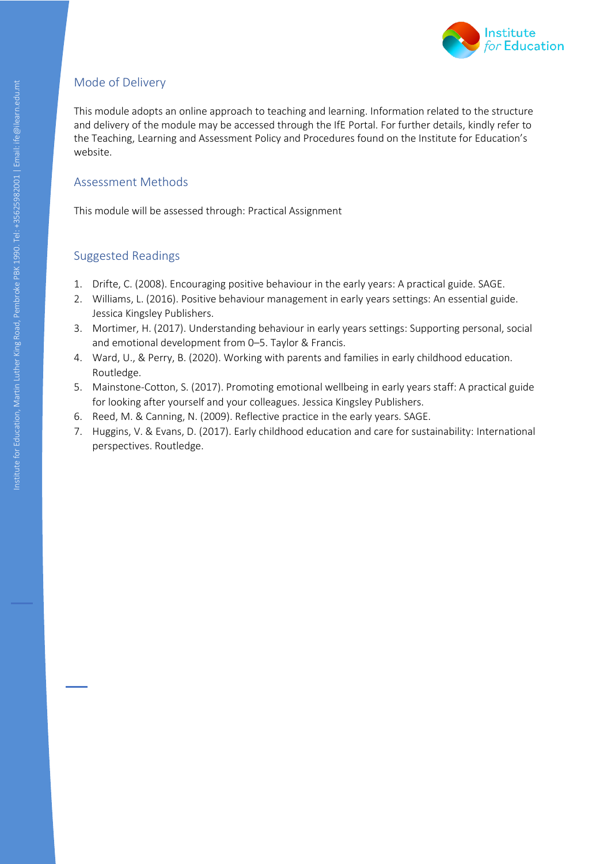

This module adopts an online approach to teaching and learning. Information related to the structure and delivery of the module may be accessed through the IfE Portal. For further details, kindly refer to the Teaching, Learning and Assessment Policy and Procedures found on the Institute for Education's website.

## Assessment Methods

This module will be assessed through: Practical Assignment

- 1. Drifte, C. (2008). Encouraging positive behaviour in the early years: A practical guide. SAGE.
- 2. Williams, L. (2016). Positive behaviour management in early years settings: An essential guide. Jessica Kingsley Publishers.
- 3. Mortimer, H. (2017). Understanding behaviour in early years settings: Supporting personal, social and emotional development from 0–5. Taylor & Francis.
- 4. Ward, U., & Perry, B. (2020). Working with parents and families in early childhood education. Routledge.
- Institute for Education, Martin Luther Road, Pembroke PBK 1990. Tel: +35625982001 | Email: infection, infection, permanent education, Pembroke PBK 1990. Tel: +35625982001 | Email: infection, ife and infection, if environme 5. Mainstone-Cotton, S. (2017). Promoting emotional wellbeing in early years staff: A practical guide for looking after yourself and your colleagues. Jessica Kingsley Publishers.
- 6. Reed, M. & Canning, N. (2009). Reflective practice in the early years. SAGE.
- 7. Huggins, V. & Evans, D. (2017). Early childhood education and care for sustainability: International perspectives. Routledge.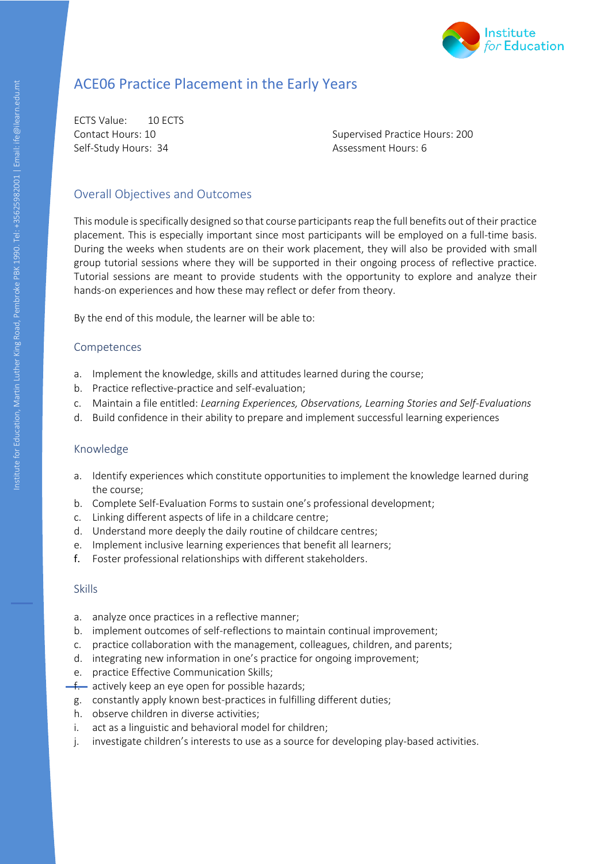

# ACE06 Practice Placement in the Early Years

ECTS Value: 10 ECTS Self-Study Hours: 34 Assessment Hours: 6

Contact Hours: 10 Supervised Practice Hours: 200

#### Overall Objectives and Outcomes

Institute for Education, Martin Luther Category<br>Education, Pearst Category This module is specifically designed so that course participants reap the full benefits out of their practice placement. This is especially important since most participants will be employed on a full-time basis. During the weeks when students are on their work placement, they will also be provided with small group tutorial sessions where they will be supported in their ongoing process of reflective practice. Tutorial sessions are meant to provide students with the opportunity to explore and analyze their hands-on experiences and how these may reflect or defer from theory.

By the end of this module, the learner will be able to:

#### Competences

- a. Implement the knowledge, skills and attitudes learned during the course;
- b. Practice reflective-practice and self-evaluation;
- c. Maintain a file entitled: *Learning Experiences, Observations, Learning Stories and Self-Evaluations*
- d. Build confidence in their ability to prepare and implement successful learning experiences

#### Knowledge

- a. Identify experiences which constitute opportunities to implement the knowledge learned during the course;
- b. Complete Self-Evaluation Forms to sustain one's professional development;
- c. Linking different aspects of life in a childcare centre;
- d. Understand more deeply the daily routine of childcare centres;
- e. Implement inclusive learning experiences that benefit all learners;
- f. Foster professional relationships with different stakeholders.

- a. analyze once practices in a reflective manner;
- b. implement outcomes of self-reflections to maintain continual improvement;
- c. practice collaboration with the management, colleagues, children, and parents;
- d. integrating new information in one's practice for ongoing improvement;
- e. practice Effective Communication Skills;
- $f$  actively keep an eye open for possible hazards;
- g. constantly apply known best-practices in fulfilling different duties;
- h. observe children in diverse activities;
- i. act as a linguistic and behavioral model for children;
- j. investigate children's interests to use as a source for developing play-based activities.